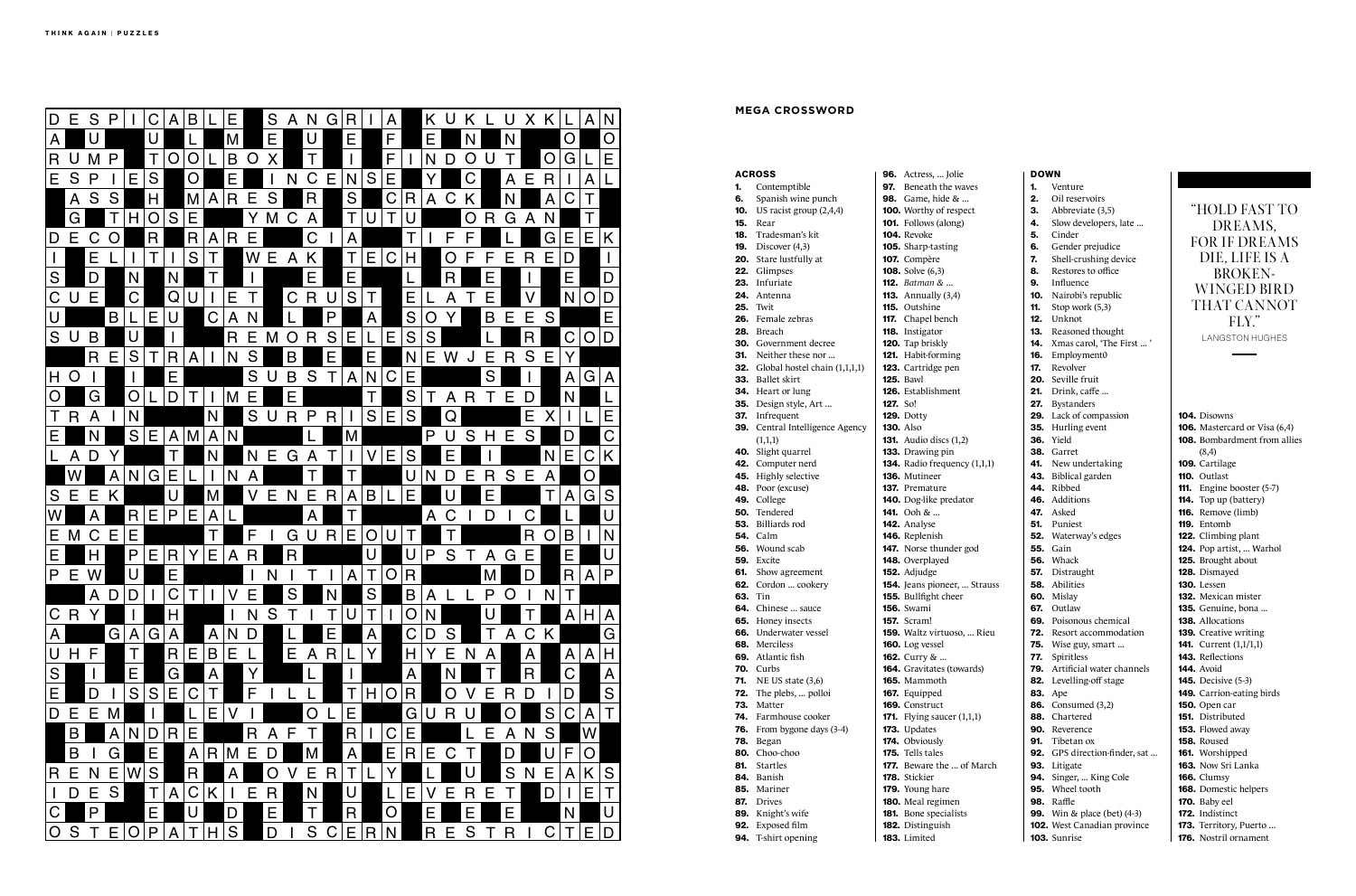|            | <b>ACROSS</b>                   |                 | <b>96.</b> Actress,  Jolie                          |
|------------|---------------------------------|-----------------|-----------------------------------------------------|
| 1.         | Contemptible                    |                 | 97. Beneath the way                                 |
| 6.<br>10.  | Spanish wine punch              |                 | 98. Game, hide &                                    |
| 15.        | US racist group (2,4,4)<br>Rear |                 | 100. Worthy of respe<br><b>101.</b> Follows (along) |
| 18.        | Tradesman's kit                 |                 | 104. Revoke                                         |
| 19.        | Discover (4,3)                  |                 | 105. Sharp-tasting                                  |
| 20.        | Stare lustfully at              |                 | 107. Compère                                        |
|            | 22. Glimpses                    |                 | <b>108.</b> Solve (6,3)                             |
| 23.        | Infuriate                       |                 | <b>112.</b> Batman &                                |
| 24.        | Antenna                         |                 | <b>113.</b> Annually (3,4)                          |
| 25.        | Twit                            |                 | 115. Outshine                                       |
| 26.        | Female zebras                   |                 | <b>117.</b> Chapel bench                            |
| 28.        | Breach                          |                 | 118. Instigator                                     |
| 30.        | Government decree               |                 | 120. Tap briskly                                    |
| 31.        | Neither these nor               |                 | <b>121.</b> Habit-forming                           |
| 32.        | Global hostel chain (1,1,1,1)   |                 | 123. Cartridge pen                                  |
| 33.        | <b>Ballet</b> skirt             |                 | <b>125. Bawl</b>                                    |
|            | <b>34.</b> Heart or lung        |                 | <b>126.</b> Establishment                           |
| 35.        | Design style, Art               | <b>127.</b> So! |                                                     |
| 37.        | Infrequent                      |                 | <b>129.</b> Dotty                                   |
| 39.        | Central Intelligence Agency     |                 | <b>130.</b> Also                                    |
|            | (1,1,1)                         |                 | <b>131.</b> Audio discs $(1,2)$                     |
|            | 40. Slight quarrel              |                 | <b>133.</b> Drawing pin                             |
| 45.        | 42. Computer nerd               |                 | 134. Radio frequency<br><b>136.</b> Mutineer        |
| 48.        | Highly selective                |                 | <b>137.</b> Premature                               |
|            | Poor (excuse)<br>49. College    |                 | 140. Dog-like predate                               |
|            | <b>50.</b> Tendered             |                 | 141. Ooh &                                          |
| 53.        | Billiards rod                   |                 | 142. Analyse                                        |
|            | <b>54.</b> Calm                 |                 | 146. Replenish                                      |
| 56.        | Wound scab                      |                 | <b>147.</b> Norse thunder g                         |
| 59.        | Excite                          |                 | 148. Overplayed                                     |
| 61.        | Show agreement                  |                 | 152. Adjudge                                        |
|            | 62. Cordon  cookery             |                 | 154. Jeans pioneer,                                 |
| 63.        | Tin                             |                 | 155. Bullfight cheer                                |
|            | 64. Chinese  sauce              |                 | <b>156.</b> Swami                                   |
|            | 65. Honey insects               |                 | <b>157.</b> Scram!                                  |
| 66.        | Underwater vessel               |                 | <b>159.</b> Waltz virtuoso,                         |
| 68.        | Merciless                       |                 | <b>160.</b> Log vessel                              |
| 69.        | Atlantic fish                   |                 | 162. Curry &                                        |
| 70.        | Curbs                           |                 | 164. Gravitates (towa                               |
| 71.        | NE US state $(3,6)$             |                 | 165. Mammoth                                        |
| 72.<br>73. | The plebs,  polloi<br>Matter    |                 | 167. Equipped                                       |
| 74.        | Farmhouse cooker                |                 | <b>169.</b> Construct                               |
| 76.        | From bygone days (3-4)          |                 | <b>171.</b> Flying saucer (1)<br>173. Updates       |
| 78.        | Began                           |                 | 174. Obviously                                      |
| 80.        | Choo-choo                       |                 | <b>175.</b> Tells tales                             |
| 81.        | <b>Startles</b>                 |                 | 177. Beware the  of                                 |
| 84.        | Banish                          |                 | 178. Stickier                                       |
| 85.        | Mariner                         |                 | <b>179.</b> Young hare                              |
| 87.        | <b>Drives</b>                   |                 | 180. Meal regimen                                   |
| 89.        | Knight's wife                   |                 | 181. Bone specialists                               |
| 92.        | Exposed film                    |                 | 182. Distinguish                                    |
| 94.        | T-shirt opening                 |                 | 183. Limited                                        |
|            |                                 |                 |                                                     |

| 104. Disowns                        |
|-------------------------------------|
| 106. Mastercard or Visa (6,4)       |
| <b>108.</b> Bombardment from allies |
| (8,4)                               |
| <b>109.</b> Cartilage               |
| 110. Outlast                        |
| 111. Engine booster (5-7)           |
| 114. Top up (battery)               |
| 116. Remove (limb)                  |
| 119. Entomb                         |
| 122. Climbing plant                 |
| 124. Pop artist,  Warhol            |
| <b>125.</b> Brought about           |
| 128. Dismayed                       |
| 130. Lessen                         |
| 132. Mexican mister                 |
| <b>135.</b> Genuine, bona           |
| 138. Allocations                    |
| 139. Creative writing               |
| <b>141.</b> Current (1,1/1,1)       |
| 143. Reflections                    |
| <b>144.</b> Avoid                   |
| <b>145.</b> Decisive (5-3)          |
| 149. Carrion-eating birds           |
| 150. Open car                       |
| 151. Distributed                    |
| 153. Flowed away                    |
| <b>158.</b> Roused                  |
| 161. Worshipped                     |
| 163. Now Sri Lanka                  |
| <b>166.</b> Clumsy                  |
| 168. Domestic helpers               |
| 170. Baby eel                       |
| 172. Indistinct                     |
| 173. Territory, Puerto              |
| 176. Nostril ornament               |

| olie         | <b>DOWN</b> |                                     |                      |
|--------------|-------------|-------------------------------------|----------------------|
| e waves      | 1.          | Venture                             |                      |
| &            | 2.          | Oil reservoirs                      |                      |
| espect       | 3.          | Abbreviate (3,5)                    | $\boldsymbol{\zeta}$ |
| ng)          | 4.          | Slow developers, late               |                      |
|              | 5.          | Cinder                              |                      |
| ıg           |             | Gender prejudice                    | $\mathbf I$          |
|              | 7.          | Shell-crushing device               |                      |
|              | 8.          | Restores to office                  |                      |
|              | 9.          | Influence                           |                      |
| ,4)          | 10.         | Nairobi's republic                  |                      |
|              | 11.         | Stop work (5,3)                     |                      |
| :h           | 12.         | Unknot                              |                      |
|              | 13.         | Reasoned thought                    |                      |
|              |             | <b>14.</b> Xmas carol, 'The First ' |                      |
| ng           |             | 16. Employment0                     |                      |
| en           |             | 17. Revolver                        |                      |
|              | 20.         | Seville fruit                       |                      |
| ent:         |             | 21. Drink, caffe                    |                      |
|              |             | 27. Bystanders                      |                      |
|              |             | 29. Lack of compassion              | 104                  |
|              |             | 35. Hurling event                   | 106                  |
| (1,2)        |             | 36. Yield                           | 108                  |
| n            | 38.         | Garret                              |                      |
| ency (1,1,1) |             | 41. New undertaking                 | 109                  |
|              |             | 43. Biblical garden                 | 110.                 |
|              |             | 44. Ribbed                          | 111.                 |
| edator       |             | 46. Additions                       | 114.                 |
|              |             | 47. Asked                           | 116.                 |
|              |             | 51. Puniest                         | 119.                 |
|              |             | 52. Waterway's edges                | 122.                 |
| der god      | 55.         | Gain                                | 124.                 |
|              | 56.         | Whack                               | 125.                 |
|              |             | 57. Distraught                      | 128                  |
| er,  Strauss |             | 58. Abilities                       | 130                  |
| eer          |             | 60. Mislay                          | 132.                 |
|              |             | 67. Outlaw                          | 135.                 |
|              |             | 69. Poisonous chemical              | 138.                 |
| oso,  Rieu   |             | <b>72.</b> Resort accommodation     | 139.                 |
|              |             | <b>75.</b> Wise guy, smart          | 141.                 |
|              | 77.         | Spiritless                          | 143.                 |
| towards)     | 79.         | Artificial water channels           | 144.                 |
|              | 82.         | Levelling-off stage                 | 145.                 |
|              | 83.         | Ape                                 | 149                  |
|              | 86.         | Consumed (3,2)                      | 150                  |
| er (1,1,1)   | 88.         | Chartered                           | 151.                 |
|              | 90.         | Reverence                           | 153.                 |
|              | 91.         | Tibetan ox                          | 158.                 |
|              | 92.         | GPS direction-finder, sat           | 161.                 |
| of March     |             | 93. Litigate                        | 163.                 |
|              | 94.         | Singer,  King Cole                  | 166.                 |
|              |             | 95. Wheel tooth                     | 168.                 |
| en           | 98.         | Raffle                              | 170.                 |
| lists        |             | <b>99.</b> Win & place (bet) (4-3)  | 172.                 |
|              |             | 102. West Canadian province         | 173.                 |
|              |             | 103. Sunrise                        | 176.                 |



### **MEGA CROSSWORD**

## "HOLD FAST TO DREAMS, FOR IF DREAMS DIE, LIFE IS A BROKEN-WINGED BIRD THAT CANNOT FLY." LANGSTON HUGHES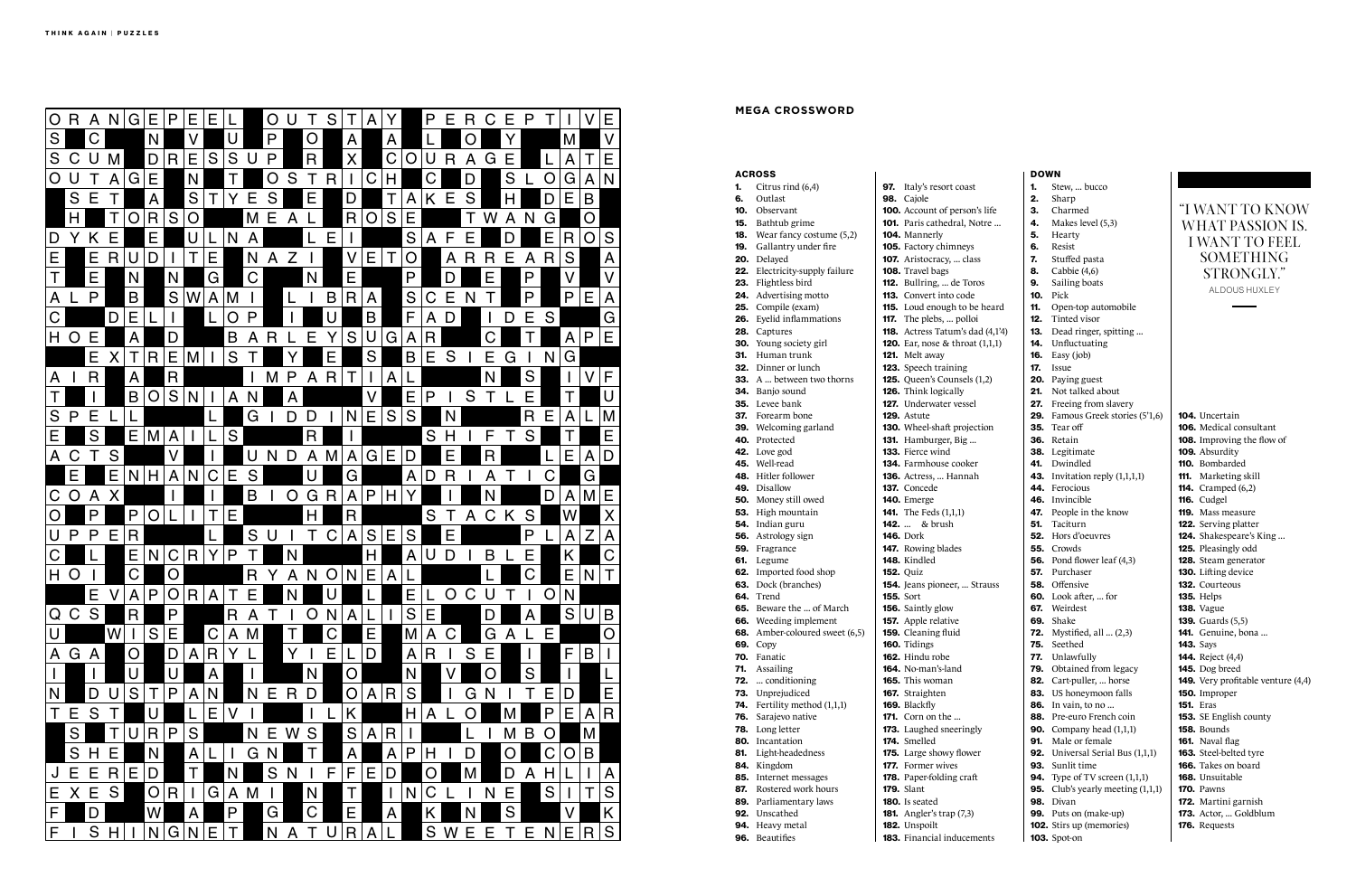|            | <b>ACROSS</b>                               |                                               |
|------------|---------------------------------------------|-----------------------------------------------|
| 1.<br>6.   | Citrus rind (6,4)<br>Outlast                | <b>97.</b> Italy's resort coast<br>98. Cajole |
|            | <b>10.</b> Observant                        | 100. Account of person's life                 |
|            | <b>15.</b> Bathtub grime                    | 101. Paris cathedral, Notre.                  |
| 18.        | Wear fancy costume (5,2)                    | 104. Mannerly                                 |
| 19.        | Gallantry under fire                        | 105. Factory chimneys                         |
|            | 20. Delayed                                 | 107. Aristocracy,  class                      |
|            | 22. Electricity-supply failure              | 108. Travel bags                              |
|            | 23. Flightless bird                         | 112. Bullring,  de Toros                      |
|            | 24. Advertising motto                       | <b>113.</b> Convert into code                 |
|            | 25. Compile (exam)                          | 115. Loud enough to be hear                   |
| 26.        | Eyelid inflammations                        | <b>117.</b> The plebs,  polloi                |
| 28.        | Captures                                    | 118. Actress Tatum's dad (4,                  |
|            | 30. Young society girl                      | <b>120.</b> Ear, nose & throat $(1,1,1)$      |
| 31.        | Human trunk                                 | 121. Melt away                                |
|            | <b>32.</b> Dinner or lunch                  | 123. Speech training                          |
|            | <b>33.</b> A  between two thorns            | 125. Queen's Counsels (1,2)                   |
|            | <b>34.</b> Banjo sound                      | 126. Think logically                          |
|            | <b>35.</b> Levee bank                       | 127. Underwater vessel                        |
|            | <b>37.</b> Forearm bone                     | 129. Astute                                   |
|            | <b>39.</b> Welcoming garland                | <b>130.</b> Wheel-shaft projection            |
|            | 40. Protected                               | 131. Hamburger, Big                           |
|            | 42. Love god                                | 133. Fierce wind                              |
|            | 45. Well-read                               | <b>134.</b> Farmhouse cooker                  |
|            | <b>48.</b> Hitler follower                  | 136. Actress,  Hannah                         |
|            | 49. Disallow                                | 137. Concede                                  |
|            | 50. Money still owed                        | 140. Emerge                                   |
|            | 53. High mountain                           | <b>141.</b> The Feds (1,1,1)                  |
|            | 54. Indian guru                             | <b>142.</b> & brush                           |
|            | 56. Astrology sign                          | <b>146.</b> Dork                              |
| 59.        | Fragrance                                   | 147. Rowing blades                            |
| 61.        | Legume                                      | 148. Kindled                                  |
|            | 62. Imported food shop                      | <b>152. Quiz</b>                              |
|            | 63. Dock (branches)                         | 154. Jeans pioneer,  Straus                   |
|            | 64. Trend                                   | <b>155.</b> Sort                              |
|            | 65. Beware the  of March                    | 156. Saintly glow                             |
|            | 66. Weeding implement                       | 157. Apple relative                           |
| 68.        | Amber-coloured sweet (6,5)                  | 159. Cleaning fluid                           |
| 69.        | Copy                                        | 160. Tidings                                  |
| 70.        | Fanatic                                     | 162. Hindu robe                               |
| 71.        | Assailing                                   | <b>164.</b> No-man's-land                     |
| 72.<br>73. | conditioning                                | <b>165.</b> This woman                        |
| 74.        | Unprejudiced                                | 167. Straighten                               |
| 76.        | Fertility method (1,1,1)<br>Sarajevo native | 169. Blackfly<br><b>171.</b> Corn on the      |
| 78.        | Long letter                                 | 173. Laughed sneeringly                       |
| 80.        | Incantation                                 | 174. Smelled                                  |
| 81.        | Light-headedness                            | 175. Large showy flower                       |
| 84.        | Kingdom                                     | <b>177.</b> Former wives                      |
| 85.        | Internet messages                           | 178. Paper-folding craft                      |
| 87.        | Rostered work hours                         | <b>179.</b> Slant                             |
| 89.        | Parliamentary laws                          | <b>180.</b> Is seated                         |
|            | <b>92.</b> Unscathed                        | <b>181.</b> Angler's trap (7,3)               |
|            | 94. Heavy metal                             | 182. Unspoilt                                 |
| 96.        | <b>Beautifies</b>                           | 183. Financial inducements                    |
|            |                                             |                                               |

|      | erson's life |  |
|------|--------------|--|
|      | al, Notre .  |  |
| neys |              |  |

de Toros. to code gh to be heard ... polloi um's dad (4,1'4): throat  $(1,1,1)$ 

eer, ... Strauss

| DOWN       |                                          |  |
|------------|------------------------------------------|--|
| 1.         | Stew,  bucco                             |  |
| 2.         | Sharp                                    |  |
| 3.         | Charmed                                  |  |
| 4.         | Makes level (5,3)                        |  |
| 5.         | Hearty                                   |  |
| 6.         | Resist                                   |  |
| 7.         | Stuffed pasta                            |  |
| 8.         | Cabbie (4,6)                             |  |
| 9.         | Sailing boats                            |  |
| 10.        | Pick                                     |  |
| 11.        | Open-top automobile                      |  |
| 12.        | Tinted visor                             |  |
| 13.        | Dead ringer, spitting                    |  |
| 14.        | Unfluctuating                            |  |
| 16.        | Easy (job)                               |  |
| 17.        | Issue                                    |  |
| 20.        | Paying guest                             |  |
| 21.        | Not talked about                         |  |
| 27.        | Freeing from slavery                     |  |
| 29.        | Famous Greek stories (5'1,6)<br>Tear off |  |
| 35.<br>36. | Retain                                   |  |
|            | 38. Legitimate                           |  |
| 41.        | Dwindled                                 |  |
| 43.        | Invitation reply (1,1,1,1)               |  |
| 44.        | Ferocious                                |  |
| 46.        | Invincible                               |  |
| 47.        | People in the know                       |  |
| 51.        | Taciturn                                 |  |
| 52.        | Hors d'oeuvres                           |  |
|            | <b>55.</b> Crowds                        |  |
|            | <b>56.</b> Pond flower leaf (4,3)        |  |
| 57.        | Purchaser                                |  |
| 58.        | Offensive                                |  |
| 60.        | Look after,  for                         |  |
|            | 67. Weirdest                             |  |
|            | 69. Shake                                |  |
| 72.        | Mystified, all  (2,3)                    |  |
| 75.        | Seethed                                  |  |
| 77.        | Unlawfully                               |  |
| 79.        | Obtained from legacy                     |  |
| 82.        | Cart-puller,  horse                      |  |
| 83.<br>86. | US honeymoon falls<br>In vain, to no     |  |
| 88.        | Pre-euro French coin                     |  |
| 90.        | Company head (1,1,1)                     |  |
| 91.        | Male or female                           |  |
| 92.        | Universal Serial Bus (1,1,1)             |  |
| 93.        | Sunlit time                              |  |
| 94.        | Type of TV screen $(1,1,1)$              |  |
| 95.        | Club's yearly meeting (1,1,1)            |  |
| 98.        | Divan                                    |  |
| 99.        | Puts on (make-up)                        |  |

102. Stirs up (memories)

103. Spot-on

104. Uncertain 106. Medical consultant 108. Improving the flow of 109. Absurdity 110. Bombarded 111. Marketing skill **114.** Cramped (6,2) 116. Cudgel 119. Mass measure 122. Serving platter 124. Shakespeare's King ... 125. Pleasingly odd 128. Steam generator 130. Lifting device 132. Courteous 135. Helps 138. Vague 139. Guards (5,5) 141. Genuine, bona ... **143.** Says 144. Reject (4,4) 145. Dog breed 149. Very profitable venture (4,4) 150. Improper 151. Eras 153. SE English county 158. Bounds 161. Naval flag 163. Steel-belted tyre 166. Takes on board 168. Unsuitable **170.** Pawns 172. Martini garnish 173. Actor, ... Goldblum 176. Requests



### **MEGA CROSSWORD**

# "I WANT TO KNOW WHAT PASSION IS. I WANT TO FEEL SOMETHING STRONGLY." ALDOUS HUXLEY